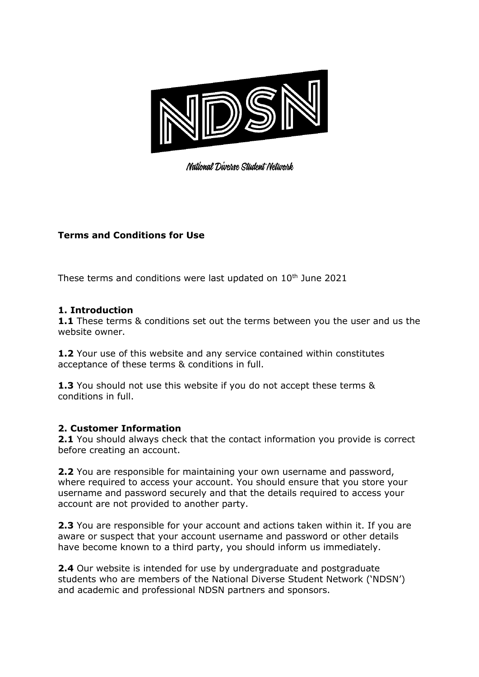

National Diverse Student Network

# **Terms and Conditions for Use**

These terms and conditions were last updated on  $10<sup>th</sup>$  June 2021

# **1. Introduction**

**1.1** These terms & conditions set out the terms between you the user and us the website owner.

**1.2** Your use of this website and any service contained within constitutes acceptance of these terms & conditions in full.

**1.3** You should not use this website if you do not accept these terms & conditions in full.

# **2. Customer Information**

**2.1** You should always check that the contact information you provide is correct before creating an account.

**2.2** You are responsible for maintaining your own username and password, where required to access your account. You should ensure that you store your username and password securely and that the details required to access your account are not provided to another party.

**2.3** You are responsible for your account and actions taken within it. If you are aware or suspect that your account username and password or other details have become known to a third party, you should inform us immediately.

**2.4** Our website is intended for use by undergraduate and postgraduate students who are members of the National Diverse Student Network ('NDSN') and academic and professional NDSN partners and sponsors.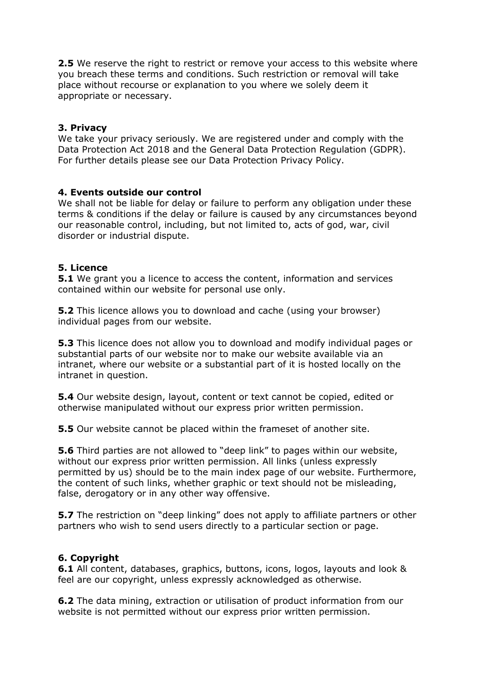**2.5** We reserve the right to restrict or remove your access to this website where you breach these terms and conditions. Such restriction or removal will take place without recourse or explanation to you where we solely deem it appropriate or necessary.

## **3. Privacy**

We take your privacy seriously. We are registered under and comply with the Data Protection Act 2018 and the General Data Protection Regulation (GDPR). For further details please see our Data Protection Privacy Policy.

## **4. Events outside our control**

We shall not be liable for delay or failure to perform any obligation under these terms & conditions if the delay or failure is caused by any circumstances beyond our reasonable control, including, but not limited to, acts of god, war, civil disorder or industrial dispute.

# **5. Licence**

**5.1** We grant you a licence to access the content, information and services contained within our website for personal use only.

**5.2** This licence allows you to download and cache (using your browser) individual pages from our website.

**5.3** This licence does not allow you to download and modify individual pages or substantial parts of our website nor to make our website available via an intranet, where our website or a substantial part of it is hosted locally on the intranet in question.

**5.4** Our website design, layout, content or text cannot be copied, edited or otherwise manipulated without our express prior written permission.

**5.5** Our website cannot be placed within the frameset of another site.

**5.6** Third parties are not allowed to "deep link" to pages within our website, without our express prior written permission. All links (unless expressly permitted by us) should be to the main index page of our website. Furthermore, the content of such links, whether graphic or text should not be misleading, false, derogatory or in any other way offensive.

**5.7** The restriction on "deep linking" does not apply to affiliate partners or other partners who wish to send users directly to a particular section or page.

# **6. Copyright**

**6.1** All content, databases, graphics, buttons, icons, logos, layouts and look & feel are our copyright, unless expressly acknowledged as otherwise.

**6.2** The data mining, extraction or utilisation of product information from our website is not permitted without our express prior written permission.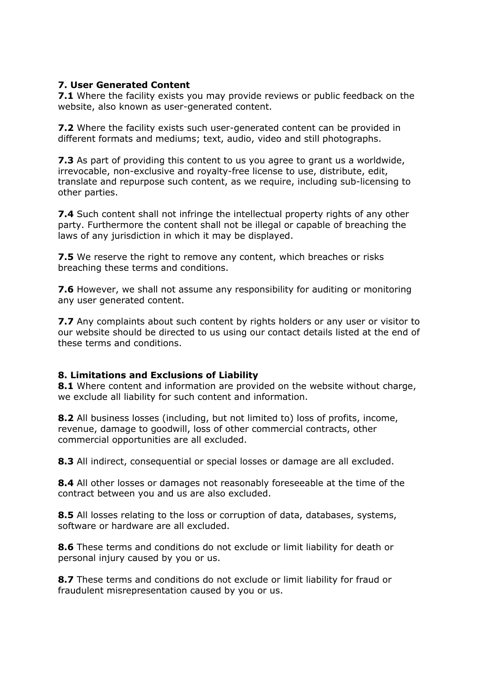# **7. User Generated Content**

**7.1** Where the facility exists you may provide reviews or public feedback on the website, also known as user-generated content.

**7.2** Where the facility exists such user-generated content can be provided in different formats and mediums; text, audio, video and still photographs.

**7.3** As part of providing this content to us you agree to grant us a worldwide, irrevocable, non-exclusive and royalty-free license to use, distribute, edit, translate and repurpose such content, as we require, including sub-licensing to other parties.

**7.4** Such content shall not infringe the intellectual property rights of any other party. Furthermore the content shall not be illegal or capable of breaching the laws of any jurisdiction in which it may be displayed.

**7.5** We reserve the right to remove any content, which breaches or risks breaching these terms and conditions.

**7.6** However, we shall not assume any responsibility for auditing or monitoring any user generated content.

**7.7** Any complaints about such content by rights holders or any user or visitor to our website should be directed to us using our contact details listed at the end of these terms and conditions.

# **8. Limitations and Exclusions of Liability**

**8.1** Where content and information are provided on the website without charge, we exclude all liability for such content and information.

**8.2** All business losses (including, but not limited to) loss of profits, income, revenue, damage to goodwill, loss of other commercial contracts, other commercial opportunities are all excluded.

**8.3** All indirect, consequential or special losses or damage are all excluded.

**8.4** All other losses or damages not reasonably foreseeable at the time of the contract between you and us are also excluded.

**8.5** All losses relating to the loss or corruption of data, databases, systems, software or hardware are all excluded.

**8.6** These terms and conditions do not exclude or limit liability for death or personal injury caused by you or us.

**8.7** These terms and conditions do not exclude or limit liability for fraud or fraudulent misrepresentation caused by you or us.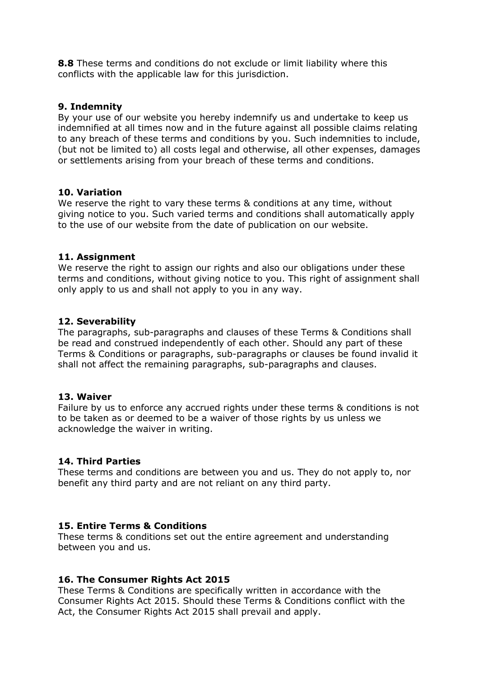**8.8** These terms and conditions do not exclude or limit liability where this conflicts with the applicable law for this jurisdiction.

## **9. Indemnity**

By your use of our website you hereby indemnify us and undertake to keep us indemnified at all times now and in the future against all possible claims relating to any breach of these terms and conditions by you. Such indemnities to include, (but not be limited to) all costs legal and otherwise, all other expenses, damages or settlements arising from your breach of these terms and conditions.

## **10. Variation**

We reserve the right to vary these terms & conditions at any time, without giving notice to you. Such varied terms and conditions shall automatically apply to the use of our website from the date of publication on our website.

## **11. Assignment**

We reserve the right to assign our rights and also our obligations under these terms and conditions, without giving notice to you. This right of assignment shall only apply to us and shall not apply to you in any way.

## **12. Severability**

The paragraphs, sub-paragraphs and clauses of these Terms & Conditions shall be read and construed independently of each other. Should any part of these Terms & Conditions or paragraphs, sub-paragraphs or clauses be found invalid it shall not affect the remaining paragraphs, sub-paragraphs and clauses.

#### **13. Waiver**

Failure by us to enforce any accrued rights under these terms & conditions is not to be taken as or deemed to be a waiver of those rights by us unless we acknowledge the waiver in writing.

#### **14. Third Parties**

These terms and conditions are between you and us. They do not apply to, nor benefit any third party and are not reliant on any third party.

# **15. Entire Terms & Conditions**

These terms & conditions set out the entire agreement and understanding between you and us.

# **16. The Consumer Rights Act 2015**

These Terms & Conditions are specifically written in accordance with the Consumer Rights Act 2015. Should these Terms & Conditions conflict with the Act, the Consumer Rights Act 2015 shall prevail and apply.